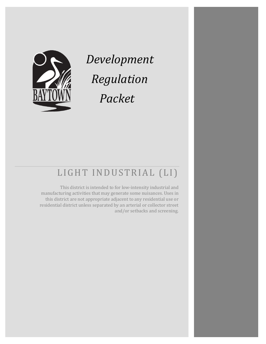

*Development Regulation Packet*

# LIGHT INDUSTRIAL (LI)

This district is intended to for low-intensity industrial and manufacturing activities that may generate some nuisances. Uses in this district are not appropriate adjacent to any residential use or residential district unless separated by an arterial or collector street and/or setbacks and screening.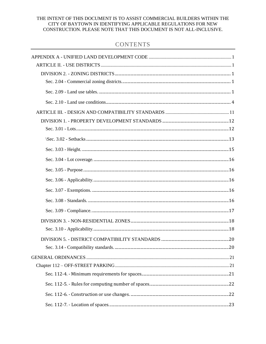### THE INTENT OF THIS DOCUMENT IS TO ASSIST COMMERCIAL BUILDERS WITHIN THE CITY OF BAYTOWN IN IDENTIFYING APPLICABLE REGULATIONS FOR NEW CONSTRUCTION. PLEASE NOTE THAT THIS DOCUMENT IS NOT ALL-INCLUSIVE.

### **CONTENTS**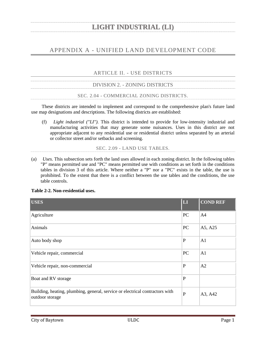### <span id="page-4-0"></span>APPENDIX A - UNIFIED LAND DEVELOPMENT CODE

ARTICLE II. - USE DISTRICTS

<span id="page-4-2"></span><span id="page-4-1"></span>

| DIVISION 2. - ZONING DISTRICTS           |
|------------------------------------------|
| SEC. 2.04 - COMMERCIAL ZONING DISTRICTS. |

<span id="page-4-3"></span>These districts are intended to implement and correspond to the comprehensive plan's future land use map designations and descriptions. The following districts are established:

(f) *Light industrial ("LI").* This district is intended to provide for low-intensity industrial and manufacturing activities that may generate some nuisances. Uses in this district are not appropriate adjacent to any residential use or residential district unless separated by an arterial or collector street and/or setbacks and screening.

SEC. 2.09 - LAND USE TABLES.

<span id="page-4-4"></span>(a) *Uses.* This subsection sets forth the land uses allowed in each zoning district. In the following tables "P" means permitted use and "PC" means permitted use with conditions as set forth in the conditions tables in division 3 of this article. Where neither a "P" nor a "PC" exists in the table, the use is prohibited. To the extent that there is a conflict between the use tables and the conditions, the use table controls.

|  | Table 2-2. Non-residential uses. |  |
|--|----------------------------------|--|
|--|----------------------------------|--|

| <b>USES</b>                                                                                     | LI           | <b>COND REF</b> |
|-------------------------------------------------------------------------------------------------|--------------|-----------------|
| Agriculture                                                                                     | PC           | A <sub>4</sub>  |
| Animals                                                                                         | PC           | A5, A25         |
| Auto body shop                                                                                  | $\mathbf P$  | A <sub>1</sub>  |
| Vehicle repair, commercial                                                                      | PC           | A1              |
| Vehicle repair, non-commercial                                                                  | $\mathbf P$  | A2              |
| Boat and RV storage                                                                             | $\mathbf{P}$ |                 |
| Building, heating, plumbing, general, service or electrical contractors with<br>outdoor storage | $\mathbf{P}$ | A3, A42         |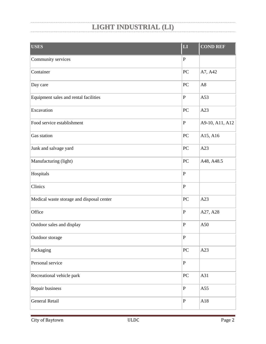| <b>USES</b>                               | $\overline{\mathbf{L}}$ | <b>COND REF</b> |
|-------------------------------------------|-------------------------|-----------------|
| Community services                        | ${\bf P}$               |                 |
| Container                                 | PC                      | A7, A42         |
| Day care                                  | PC                      | A8              |
| Equipment sales and rental facilities     | ${\bf P}$               | A53             |
| Excavation                                | PC                      | A23             |
| Food service establishment                | ${\bf P}$               | A9-10, A11, A12 |
| Gas station                               | PC                      | A15, A16        |
| Junk and salvage yard                     | PC                      | A23             |
| Manufacturing (light)                     | PC                      | A48, A48.5      |
| Hospitals                                 | ${\bf P}$               |                 |
| Clinics                                   | ${\bf P}$               |                 |
| Medical waste storage and disposal center | PC                      | A23             |
| Office                                    | ${\bf P}$               | A27, A28        |
| Outdoor sales and display                 | ${\bf P}$               | A50             |
| Outdoor storage                           | ${\bf P}$               |                 |
| Packaging                                 | ${\rm P}{\bf C}$        | A23             |
| Personal service                          | ${\bf P}$               |                 |
| Recreational vehicle park                 | ${\rm P}{\bf C}$        | A31             |
| Repair business                           | ${\bf P}$               | A55             |
| General Retail                            | ${\bf P}$               | A18             |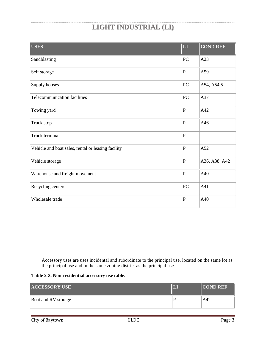| <b>USES</b>                                        | LI             | <b>COND REF</b> |
|----------------------------------------------------|----------------|-----------------|
| Sandblasting                                       | PC             | A23             |
| Self storage                                       | $\mathbf P$    | A59             |
| Supply houses                                      | PC             | A54, A54.5      |
| Telecommunication facilities                       | PC             | A37             |
| Towing yard                                        | $\mathbf P$    | A42             |
| Truck stop                                         | ${\bf P}$      | A46             |
| Truck terminal                                     | $\mathbf P$    |                 |
| Vehicle and boat sales, rental or leasing facility | $\overline{P}$ | A52             |
| Vehicle storage                                    | $\overline{P}$ | A36, A38, A42   |
| Warehouse and freight movement                     | $\overline{P}$ | A40             |
| Recycling centers                                  | PC             | A41             |
| Wholesale trade                                    | $\mathbf P$    | A40             |

Accessory uses are uses incidental and subordinate to the principal use, located on the same lot as the principal use and in the same zoning district as the principal use.

|  | Table 2-3. Non-residential accessory use table. |  |  |
|--|-------------------------------------------------|--|--|
|--|-------------------------------------------------|--|--|

| <b>ACCESSORY USE</b> |   | <b>COND REF</b> |
|----------------------|---|-----------------|
| Boat and RV storage  | Е | A42             |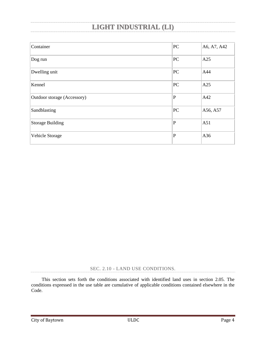| Container                   | PC           | A6, A7, A42 |
|-----------------------------|--------------|-------------|
| Dog run                     | PC           | A25         |
| Dwelling unit               | PC           | A44         |
| Kennel                      | PC           | A25         |
| Outdoor storage (Accessory) | $\mathbf P$  | A42         |
| Sandblasting                | PC           | A56, A57    |
| <b>Storage Building</b>     | $\mathbf{P}$ | A51         |
| Vehicle Storage             | $\mathbf P$  | A36         |

SEC. 2.10 - LAND USE CONDITIONS.

<span id="page-7-0"></span>This section sets forth the conditions associated with identified land uses in section 2.05. The conditions expressed in the use table are cumulative of applicable conditions contained elsewhere in the Code.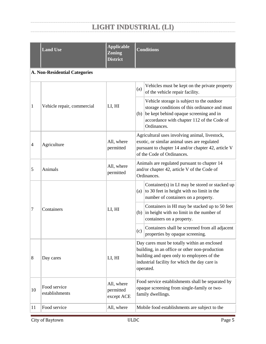|    | <b>Land Use</b>                      | <b>Applicable</b><br><b>Zoning</b><br><b>District</b> | <b>Conditions</b>                                                                                                                                                                                          |  |
|----|--------------------------------------|-------------------------------------------------------|------------------------------------------------------------------------------------------------------------------------------------------------------------------------------------------------------------|--|
|    | <b>A. Non-Residential Categories</b> |                                                       |                                                                                                                                                                                                            |  |
|    |                                      |                                                       | Vehicles must be kept on the private property<br>(a)<br>of the vehicle repair facility.                                                                                                                    |  |
| 1  | Vehicle repair, commercial           | LI, HI                                                | Vehicle storage is subject to the outdoor<br>storage conditions of this ordinance and must<br>be kept behind opaque screening and in<br>(b)<br>accordance with chapter 112 of the Code of<br>Ordinances.   |  |
| 4  | Agriculture                          | All, where<br>permitted                               | Agricultural uses involving animal, livestock,<br>exotic, or similar animal uses are regulated<br>pursuant to chapter 14 and/or chapter 42, article V<br>of the Code of Ordinances.                        |  |
| 5  | Animals                              | All, where<br>permitted                               | Animals are regulated pursuant to chapter 14<br>and/or chapter 42, article V of the Code of<br>Ordinances.                                                                                                 |  |
| 7  | Containers                           | LI, HI                                                | Container(s) in LI may be stored or stacked up<br>to 30 feet in height with no limit in the<br>(a)<br>number of containers on a property.                                                                  |  |
|    |                                      |                                                       | Containers in HI may be stacked up to 50 feet<br>(b) in height with no limit in the number of<br>containers on a property.                                                                                 |  |
|    |                                      |                                                       | Containers shall be screened from all adjacent<br>(c)<br>properties by opaque screening.                                                                                                                   |  |
| 8  | Day cares                            | LI, HI                                                | Day cares must be totally within an enclosed<br>building, in an office or other non-production<br>building and open only to employees of the<br>industrial facility for which the day care is<br>operated. |  |
| 10 | Food service<br>establishments       | All, where<br>permitted<br>except ACE                 | Food service establishments shall be separated by<br>opaque screening from single-family or two-<br>family dwellings.                                                                                      |  |
| 11 | Food service                         | All, where                                            | Mobile food establishments are subject to the                                                                                                                                                              |  |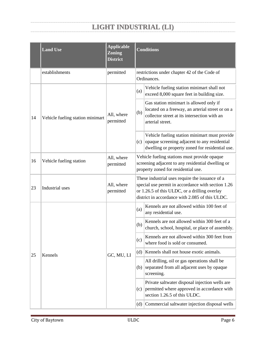|    | <b>Land Use</b>                  | <b>Applicable</b><br><b>Zoning</b><br><b>District</b> | <b>Conditions</b>                                                                                                                                                                                         |                                                                                                                                                                 |                                                                                 |
|----|----------------------------------|-------------------------------------------------------|-----------------------------------------------------------------------------------------------------------------------------------------------------------------------------------------------------------|-----------------------------------------------------------------------------------------------------------------------------------------------------------------|---------------------------------------------------------------------------------|
|    | establishments                   | permitted                                             |                                                                                                                                                                                                           | restrictions under chapter 42 of the Code of<br>Ordinances.                                                                                                     |                                                                                 |
|    |                                  |                                                       | (a)                                                                                                                                                                                                       | Vehicle fueling station minimart shall not<br>exceed 8,000 square feet in building size.                                                                        |                                                                                 |
| 14 | Vehicle fueling station minimart | All, where<br>permitted                               | (b)                                                                                                                                                                                                       | Gas station minimart is allowed only if<br>located on a freeway, an arterial street or on a<br>collector street at its intersection with an<br>arterial street. |                                                                                 |
|    |                                  |                                                       | (c)                                                                                                                                                                                                       | Vehicle fueling station minimart must provide<br>opaque screening adjacent to any residential<br>dwelling or property zoned for residential use.                |                                                                                 |
| 16 | Vehicle fueling station          | All, where<br>permitted                               | Vehicle fueling stations must provide opaque<br>screening adjacent to any residential dwelling or<br>property zoned for residential use.                                                                  |                                                                                                                                                                 |                                                                                 |
| 23 | Industrial uses                  | All, where<br>permitted                               | These industrial uses require the issuance of a<br>special use permit in accordance with section 1.26<br>or 1.26.5 of this ULDC, or a drilling overlay<br>district in accordance with 2.085 of this ULDC. |                                                                                                                                                                 |                                                                                 |
|    | Kennels<br>25                    | GC, MU, LI                                            | (a)                                                                                                                                                                                                       | Kennels are not allowed within 100 feet of<br>any residential use.                                                                                              |                                                                                 |
|    |                                  |                                                       | (b)                                                                                                                                                                                                       | Kennels are not allowed within 300 feet of a<br>church, school, hospital, or place of assembly.                                                                 |                                                                                 |
|    |                                  |                                                       |                                                                                                                                                                                                           | (c)                                                                                                                                                             | Kennels are not allowed within 300 feet from<br>where food is sold or consumed. |
|    |                                  |                                                       | (d)                                                                                                                                                                                                       | Kennels shall not house exotic animals.                                                                                                                         |                                                                                 |
|    |                                  |                                                       | (b)                                                                                                                                                                                                       | All drilling, oil or gas operations shall be<br>separated from all adjacent uses by opaque<br>screening.                                                        |                                                                                 |
|    |                                  |                                                       | (c)                                                                                                                                                                                                       | Private saltwater disposal injection wells are<br>permitted where approved in accordance with<br>section 1.26.5 of this ULDC.                                   |                                                                                 |
|    |                                  |                                                       | (d)                                                                                                                                                                                                       | Commercial saltwater injection disposal wells                                                                                                                   |                                                                                 |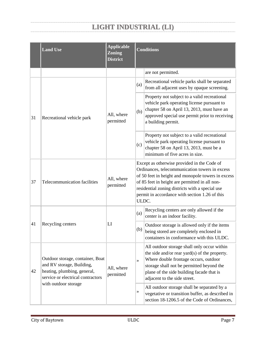|    | <b>Land Use</b>                                                                                                                   | <b>Applicable</b><br><b>Zoning</b><br><b>District</b> | <b>Conditions</b>                                                                                                                                                                                                                                                                                                   |                                                                                                                                                                                                                                                                 |  |
|----|-----------------------------------------------------------------------------------------------------------------------------------|-------------------------------------------------------|---------------------------------------------------------------------------------------------------------------------------------------------------------------------------------------------------------------------------------------------------------------------------------------------------------------------|-----------------------------------------------------------------------------------------------------------------------------------------------------------------------------------------------------------------------------------------------------------------|--|
|    |                                                                                                                                   |                                                       |                                                                                                                                                                                                                                                                                                                     | are not permitted.                                                                                                                                                                                                                                              |  |
|    |                                                                                                                                   |                                                       | (a)                                                                                                                                                                                                                                                                                                                 | Recreational vehicle parks shall be separated<br>from all adjacent uses by opaque screening.                                                                                                                                                                    |  |
| 31 | Recreational vehicle park                                                                                                         | All, where<br>permitted                               | (b)                                                                                                                                                                                                                                                                                                                 | Property not subject to a valid recreational<br>vehicle park operating license pursuant to<br>chapter 58 on April 13, 2013, must have an<br>approved special use permit prior to receiving<br>a building permit.                                                |  |
|    |                                                                                                                                   |                                                       | (c)                                                                                                                                                                                                                                                                                                                 | Property not subject to a valid recreational<br>vehicle park operating license pursuant to<br>chapter 58 on April 13, 2013, must be a<br>minimum of five acres in size.                                                                                         |  |
| 37 | Telecommunication facilities                                                                                                      | All, where<br>permitted                               | Except as otherwise provided in the Code of<br>Ordinances, telecommunication towers in excess<br>of 50 feet in height and monopole towers in excess<br>of 85 feet in height are permitted in all non-<br>residential zoning districts with a special use<br>permit in accordance with section 1.26 of this<br>ULDC. |                                                                                                                                                                                                                                                                 |  |
|    |                                                                                                                                   |                                                       | (a)                                                                                                                                                                                                                                                                                                                 | Recycling centers are only allowed if the<br>center is an indoor facility.                                                                                                                                                                                      |  |
| 41 | Recycling centers                                                                                                                 | LI                                                    | (b)                                                                                                                                                                                                                                                                                                                 | Outdoor storage is allowed only if the items<br>being stored are completely enclosed in<br>containers in conformance with this ULDC.                                                                                                                            |  |
| 42 | Outdoor storage, container, Boat<br>and RV storage, Building,<br>heating, plumbing, general,<br>service or electrical contractors | All, where<br>permitted                               | $\rightarrow$                                                                                                                                                                                                                                                                                                       | All outdoor storage shall only occur within<br>the side and/or rear yard(s) of the property.<br>Where double frontage occurs, outdoor<br>storage shall not be permitted beyond the<br>plane of the side building facade that is<br>adjacent to the side street. |  |
|    | with outdoor storage                                                                                                              |                                                       | »                                                                                                                                                                                                                                                                                                                   | All outdoor storage shall be separated by a<br>vegetative or transition buffer, as described in<br>section 18-1206.5 of the Code of Ordinances,                                                                                                                 |  |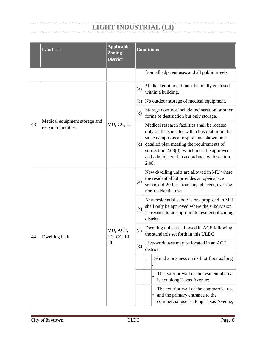|    | <b>Land Use</b>                                      | <b>Applicable</b><br><b>Zoning</b><br><b>District</b> | <b>Conditions</b> |                                                                                                                                                                                                                                                                                               |  |  |
|----|------------------------------------------------------|-------------------------------------------------------|-------------------|-----------------------------------------------------------------------------------------------------------------------------------------------------------------------------------------------------------------------------------------------------------------------------------------------|--|--|
|    |                                                      |                                                       |                   | from all adjacent uses and all public streets.                                                                                                                                                                                                                                                |  |  |
|    |                                                      |                                                       | (a)               | Medical equipment must be totally enclosed<br>within a building.                                                                                                                                                                                                                              |  |  |
|    |                                                      |                                                       |                   | (b) No outdoor storage of medical equipment.                                                                                                                                                                                                                                                  |  |  |
|    |                                                      |                                                       | (c)               | Storage does not include incineration or other<br>forms of destruction but only storage.                                                                                                                                                                                                      |  |  |
| 43 | Medical equipment storage and<br>research facilities | MU, GC, LI                                            | (d)               | Medical research facilities shall be located<br>only on the same lot with a hospital or on the<br>same campus as a hospital and shown on a<br>detailed plan meeting the requirements of<br>subsection 2.08(d), which must be approved<br>and administered in accordance with section<br>2.08. |  |  |
|    |                                                      | MU, ACE,<br>LC, GC, LI,<br>HI                         | (a)               | New dwelling units are allowed in MU where<br>the residential lot provides an open space<br>setback of 20 feet from any adjacent, existing<br>non-residential use.                                                                                                                            |  |  |
|    | Dwelling Unit                                        |                                                       | (b)               | New residential subdivisions proposed in MU<br>shall only be approved where the subdivision<br>is rezoned to an appropriate residential zoning<br>district.                                                                                                                                   |  |  |
| 44 |                                                      |                                                       | (c)               | Dwelling units are allowed in ACE following<br>the standards set forth in this ULDC.                                                                                                                                                                                                          |  |  |
|    |                                                      |                                                       | (d)               | Live-work uses may be located in an ACE<br>district:                                                                                                                                                                                                                                          |  |  |
|    |                                                      |                                                       |                   | Behind a business on its first floor as long<br>$\mathbf{i}$ .<br>as:                                                                                                                                                                                                                         |  |  |
|    |                                                      |                                                       |                   | The exterior wall of the residential area<br>is not along Texas Avenue;                                                                                                                                                                                                                       |  |  |
|    |                                                      |                                                       |                   | The exterior wall of the commercial use<br>and the primary entrance to the<br>commercial use is along Texas Avenue;                                                                                                                                                                           |  |  |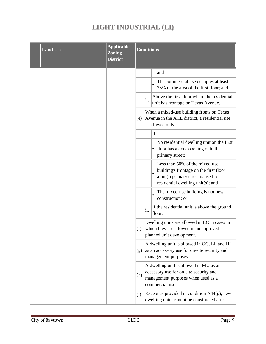| <b>Land Use</b> | <b>Applicable</b><br><b>Zoning</b><br><b>District</b> | <b>Conditions</b>                                                                                                                                |                                                                                                                    |           |                                                                                                                                                     |  |
|-----------------|-------------------------------------------------------|--------------------------------------------------------------------------------------------------------------------------------------------------|--------------------------------------------------------------------------------------------------------------------|-----------|-----------------------------------------------------------------------------------------------------------------------------------------------------|--|
|                 |                                                       |                                                                                                                                                  |                                                                                                                    |           | and                                                                                                                                                 |  |
|                 |                                                       |                                                                                                                                                  |                                                                                                                    |           | The commercial use occupies at least<br>25% of the area of the first floor; and                                                                     |  |
|                 |                                                       |                                                                                                                                                  | ii.                                                                                                                |           | Above the first floor where the residential<br>unit has frontage on Texas Avenue.                                                                   |  |
|                 |                                                       | (e)                                                                                                                                              |                                                                                                                    |           | When a mixed-use building fronts on Texas<br>Avenue in the ACE district, a residential use<br>is allowed only                                       |  |
|                 |                                                       |                                                                                                                                                  | i.                                                                                                                 | If:       |                                                                                                                                                     |  |
|                 |                                                       |                                                                                                                                                  |                                                                                                                    | ٠         | No residential dwelling unit on the first<br>floor has a door opening onto the<br>primary street;                                                   |  |
|                 |                                                       |                                                                                                                                                  |                                                                                                                    | $\bullet$ | Less than 50% of the mixed-use<br>building's frontage on the first floor<br>along a primary street is used for<br>residential dwelling unit(s); and |  |
|                 |                                                       |                                                                                                                                                  |                                                                                                                    |           | The mixed-use building is not new<br>construction; or                                                                                               |  |
|                 |                                                       |                                                                                                                                                  | $\ddot{\mathbf{i}}$                                                                                                |           | If the residential unit is above the ground<br>floor.                                                                                               |  |
|                 |                                                       | (f)                                                                                                                                              | Dwelling units are allowed in LC in cases in<br>which they are allowed in an approved<br>planned unit development. |           |                                                                                                                                                     |  |
|                 |                                                       | (g)                                                                                                                                              |                                                                                                                    |           | A dwelling unit is allowed in GC, LI, and HI<br>as an accessory use for on-site security and<br>management purposes.                                |  |
|                 |                                                       | A dwelling unit is allowed in MU as an<br>accessory use for on-site security and<br>(h)<br>management purposes when used as a<br>commercial use. |                                                                                                                    |           |                                                                                                                                                     |  |
|                 |                                                       | (i)                                                                                                                                              | Except as provided in condition $A44(g)$ , new<br>dwelling units cannot be constructed after                       |           |                                                                                                                                                     |  |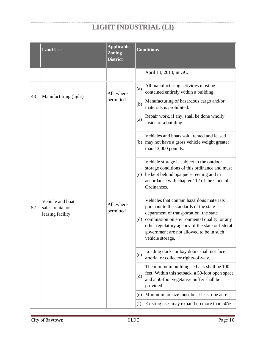|    | <b>Land Use</b>                                          | <b>Applicable</b><br><b>Zoning</b><br><b>District</b> | <b>Conditions</b> |                                                                                                                                                                                                                                                                                                  |  |
|----|----------------------------------------------------------|-------------------------------------------------------|-------------------|--------------------------------------------------------------------------------------------------------------------------------------------------------------------------------------------------------------------------------------------------------------------------------------------------|--|
|    |                                                          |                                                       |                   | April 13, 2013, in GC.                                                                                                                                                                                                                                                                           |  |
| 48 | Manufacturing (light)                                    | All, where<br>permitted                               | (a)               | All manufacturing activities must be<br>contained entirely within a building.                                                                                                                                                                                                                    |  |
|    |                                                          |                                                       | (b)               | Manufacturing of hazardous cargo and/or<br>materials is prohibited.                                                                                                                                                                                                                              |  |
|    |                                                          |                                                       | (a)               | Repair work, if any, shall be done wholly<br>inside of a building.                                                                                                                                                                                                                               |  |
|    | Vehicle and boat<br>sales, rental or<br>leasing facility | All, where<br>permitted                               | (b)               | Vehicles and boats sold, rented and leased<br>may not have a gross vehicle weight greater<br>than 13,000 pounds.                                                                                                                                                                                 |  |
| 52 |                                                          |                                                       | (c)               | Vehicle storage is subject to the outdoor<br>storage conditions of this ordinance and must<br>be kept behind opaque screening and in<br>accordance with chapter 112 of the Code of<br>Ordinances.                                                                                                |  |
|    |                                                          |                                                       | (d)               | Vehicles that contain hazardous materials<br>pursuant to the standards of the state<br>department of transportation, the state<br>commission on environmental quality, or any<br>other regulatory agency of the state or federal<br>government are not allowed to be in such<br>vehicle storage. |  |
|    |                                                          |                                                       | (c)               | Loading docks or bay doors shall not face<br>arterial or collector rights-of-way.                                                                                                                                                                                                                |  |
|    |                                                          |                                                       | (d)               | The minimum building setback shall be 100<br>feet. Within this setback, a 50-foot open space<br>and a 50-foot vegetative buffer shall be<br>provided.                                                                                                                                            |  |
|    |                                                          |                                                       | (e)               | Minimum lot size must be at least one acre.                                                                                                                                                                                                                                                      |  |
|    |                                                          |                                                       | (f)               | Existing uses may expand no more than 50%                                                                                                                                                                                                                                                        |  |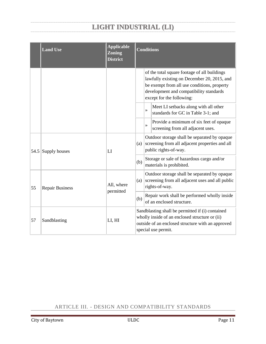|      | <b>Land Use</b>                                   | <b>Applicable</b><br><b>Zoning</b><br><b>District</b> | <b>Conditions</b>                                                                                                                                                                                                  |                                                                                                                         |  |  |
|------|---------------------------------------------------|-------------------------------------------------------|--------------------------------------------------------------------------------------------------------------------------------------------------------------------------------------------------------------------|-------------------------------------------------------------------------------------------------------------------------|--|--|
|      |                                                   |                                                       | of the total square footage of all buildings<br>lawfully existing on December 20, 2015, and<br>be exempt from all use conditions, property<br>development and compatibility standards<br>except for the following: |                                                                                                                         |  |  |
|      |                                                   |                                                       |                                                                                                                                                                                                                    | Meet LI setbacks along with all other<br>$\rightarrow$<br>standards for GC in Table 3-1; and                            |  |  |
|      |                                                   |                                                       |                                                                                                                                                                                                                    | Provide a minimum of six feet of opaque<br>$\rightarrow$<br>screening from all adjacent uses.                           |  |  |
| 54.5 | Supply houses                                     | LI                                                    | (a)                                                                                                                                                                                                                | Outdoor storage shall be separated by opaque<br>screening from all adjacent properties and all<br>public rights-of-way. |  |  |
|      |                                                   |                                                       | (b)                                                                                                                                                                                                                | Storage or sale of hazardous cargo and/or<br>materials is prohibited.                                                   |  |  |
| 55   | All, where<br><b>Repair Business</b><br>permitted | (a)                                                   | Outdoor storage shall be separated by opaque<br>screening from all adjacent uses and all public<br>rights-of-way.                                                                                                  |                                                                                                                         |  |  |
|      |                                                   |                                                       | (b)                                                                                                                                                                                                                | Repair work shall be performed wholly inside<br>of an enclosed structure.                                               |  |  |
| 57   | Sandblasting                                      | LI, HI                                                | Sandblasting shall be permitted if (i) contained<br>wholly inside of an enclosed structure or (ii)<br>outside of an enclosed structure with an approved<br>special use permit.                                     |                                                                                                                         |  |  |

### <span id="page-14-0"></span>ARTICLE III. - DESIGN AND COMPATIBILITY STANDARDS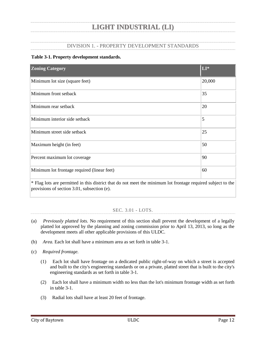### DIVISION 1. - PROPERTY DEVELOPMENT STANDARDS

### <span id="page-15-0"></span>**Table 3-1. Property development standards.**

| <b>Zoning Category</b>                                                                                         | LI*    |
|----------------------------------------------------------------------------------------------------------------|--------|
| Minimum lot size (square feet)                                                                                 | 20,000 |
| Minimum front setback                                                                                          | 35     |
| Minimum rear setback                                                                                           | 20     |
| Minimum interior side setback                                                                                  | 5      |
| Minimum street side setback                                                                                    | 25     |
| Maximum height (in feet)                                                                                       | 50     |
| Percent maximum lot coverage                                                                                   | 90     |
| Minimum lot frontage required (linear feet)                                                                    | 60     |
| $*$ Flag lots are permitted in this district that do not meet the minimum lot frontage required subject to the |        |

Flag lots are permitted in this district that do not meet the minimum lot frontage required subject to the provisions of section 3.01, subsection (e).

### SEC. 3.01 - LOTS.

- <span id="page-15-1"></span>(a) *Previously platted lots.* No requirement of this section shall prevent the development of a legally platted lot approved by the planning and zoning commission prior to April 13, 2013, so long as the development meets all other applicable provisions of this ULDC.
- (b) *Area.* Each lot shall have a minimum area as set forth in table 3-1.
- (c) *Required frontage.*
	- (1) Each lot shall have frontage on a dedicated public right-of-way on which a street is accepted and built to the city's engineering standards or on a private, platted street that is built to the city's engineering standards as set forth in table 3-1.
	- (2) Each lot shall have a minimum width no less than the lot's minimum frontage width as set forth in table 3-1.
	- (3) Radial lots shall have at least 20 feet of frontage.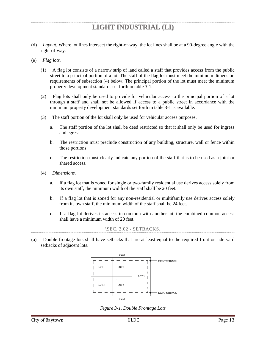- (d) *Layout.* Where lot lines intersect the right-of-way, the lot lines shall be at a 90-degree angle with the right-of-way.
- (e) *Flag lots.*
	- (1) A flag lot consists of a narrow strip of land called a staff that provides access from the public street to a principal portion of a lot. The staff of the flag lot must meet the minimum dimension requirements of subsection (4) below. The principal portion of the lot must meet the minimum property development standards set forth in table 3-1.
	- (2) Flag lots shall only be used to provide for vehicular access to the principal portion of a lot through a staff and shall not be allowed if access to a public street in accordance with the minimum property development standards set forth in table 3-1 is available.
	- (3) The staff portion of the lot shall only be used for vehicular access purposes.
		- a. The staff portion of the lot shall be deed restricted so that it shall only be used for ingress and egress.
		- b. The restriction must preclude construction of any building, structure, wall or fence within those portions.
		- c. The restriction must clearly indicate any portion of the staff that is to be used as a joint or shared access.
	- (4) *Dimensions.*
		- a. If a flag lot that is zoned for single or two-family residential use derives access solely from its own staff, the minimum width of the staff shall be 20 feet.
		- b. If a flag lot that is zoned for any non-residential or multifamily use derives access solely from its own staff, the minimum width of the staff shall be 24 feet.
		- c. If a flag lot derives its access in common with another lot, the combined common access shall have a minimum width of 20 feet.

```
\SEC. 3.02 - SETBACKS.
```
<span id="page-16-0"></span>(a) Double frontage lots shall have setbacks that are at least equal to the required front or side yard setbacks of adjacent lots.



*Figure 3-1. Double Frontage Lots*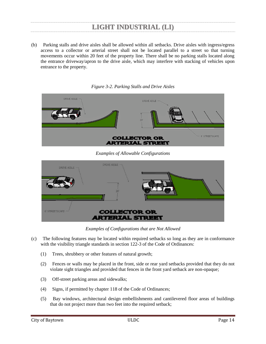(b) Parking stalls and drive aisles shall be allowed within all setbacks. Drive aisles with ingress/egress access to a collector or arterial street shall not be located parallel to a street so that turning movements occur within 20 feet of the property line. There shall be no parking stalls located along the entrance driveway/apron to the drive aisle, which may interfere with stacking of vehicles upon entrance to the property.

**DRIVE AISLE DRIVE AISLE** 6' STREETSCAPE **COLLECTOR OR ARTERIAL STREET** 

*Figure 3-2. Parking Stalls and Drive Aisles*

*Examples of Allowable Configurations*

| DRIVE AISLE          | DRIVE AISLE                                   |  |
|----------------------|-----------------------------------------------|--|
| <b>6 STREETSCAPE</b> | <b>COLLECTOR OR</b><br><b>ARTERIAL STREET</b> |  |

*Examples of Configurations that are Not Allowed*

- (c) The following features may be located within required setbacks so long as they are in conformance with the visibility triangle standards in section 122-3 of the Code of Ordinances:
	- (1) Trees, shrubbery or other features of natural growth;
	- (2) Fences or walls may be placed in the front, side or rear yard setbacks provided that they do not violate sight triangles and provided that fences in the front yard setback are non-opaque;
	- (3) Off-street parking areas and sidewalks;
	- (4) Signs, if permitted by chapter 118 of the Code of Ordinances;
	- (5) Bay windows, architectural design embellishments and cantilevered floor areas of buildings that do not project more than two feet into the required setback;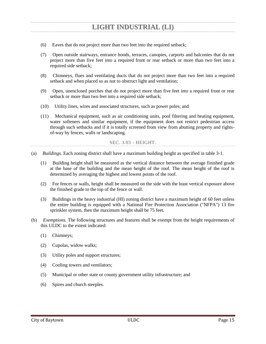- (6) Eaves that do not project more than two feet into the required setback;
- (7) Open outside stairways, entrance hoods, terraces, canopies, carports and balconies that do not project more than five feet into a required front or rear setback or more than two feet into a required side setback;
- (8) Chimneys, flues and ventilating ducts that do not project more than two feet into a required setback and when placed so as not to obstruct light and ventilation;
- (9) Open, unenclosed porches that do not project more than five feet into a required front or rear setback or more than two feet into a required side setback;
- (10) Utility lines, wires and associated structures, such as power poles; and
- (11) Mechanical equipment, such as air conditioning units, pool filtering and heating equipment, water softeners and similar equipment, if the equipment does not restrict pedestrian access through such setbacks and if it is totally screened from view from abutting property and rightsof-way by fences, walls or landscaping.

#### SEC. 3.03 - HEIGHT.

- <span id="page-18-0"></span>(a) *Buildings.* Each zoning district shall have a maximum building height as specified in table 3-1.
	- (1) Building height shall be measured as the vertical distance between the average finished grade at the base of the building and the mean height of the roof. The mean height of the roof is determined by averaging the highest and lowest points of the roof.
	- (2) For fences or walls, height shall be measured on the side with the least vertical exposure above the finished grade to the top of the fence or wall.
	- (3) Buildings in the heavy industrial (HI) zoning district have a maximum height of 60 feet unless the entire building is equipped with a National Fire Protection Association ("NFPA") 13 fire sprinkler system, then the maximum height shall be 75 feet.
- (b) *Exemptions.* The following structures and features shall be exempt from the height requirements of this ULDC to the extent indicated:
	- (1) Chimneys;
	- (2) Cupolas, widow walks;
	- (3) Utility poles and support structures;
	- (4) Cooling towers and ventilators;
	- (5) Municipal or other state or county government utility infrastructure; and
	- (6) Spires and church steeples.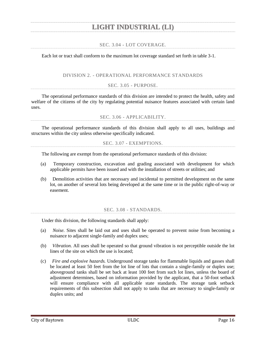### SEC. 3.04 - LOT COVERAGE.

<span id="page-19-0"></span>Each lot or tract shall conform to the maximum lot coverage standard set forth in table 3-1.

### DIVISION 2. - OPERATIONAL PERFORMANCE STANDARDS

SEC. 3.05 - PURPOSE.

<span id="page-19-1"></span>The operational performance standards of this division are intended to protect the health, safety and welfare of the citizens of the city by regulating potential nuisance features associated with certain land uses.

SEC. 3.06 - APPLICABILITY.

<span id="page-19-3"></span><span id="page-19-2"></span>The operational performance standards of this division shall apply to all uses, buildings and structures within the city unless otherwise specifically indicated.

SEC. 3.07 - EXEMPTIONS.

The following are exempt from the operational performance standards of this division:

- (a) Temporary construction, excavation and grading associated with development for which applicable permits have been issued and with the installation of streets or utilities; and
- (b) Demolition activities that are necessary and incidental to permitted development on the same lot, on another of several lots being developed at the same time or in the public right-of-way or easement.

#### SEC. 3.08 - STANDARDS.

<span id="page-19-4"></span>Under this division, the following standards shall apply:

- (a) *Noise.* Sites shall be laid out and uses shall be operated to prevent noise from becoming a nuisance to adjacent single-family and duplex uses;
- (b) *Vibration.* All uses shall be operated so that ground vibration is not perceptible outside the lot lines of the site on which the use is located;
- (c) *Fire and explosive hazards.* Underground storage tanks for flammable liquids and gasses shall be located at least 50 feet from the lot line of lots that contain a single-family or duplex use; aboveground tanks shall be set back at least 100 feet from such lot lines, unless the board of adjustment determines, based on information provided by the applicant, that a 50-foot setback will ensure compliance with all applicable state standards. The storage tank setback requirements of this subsection shall not apply to tanks that are necessary to single-family or duplex units; and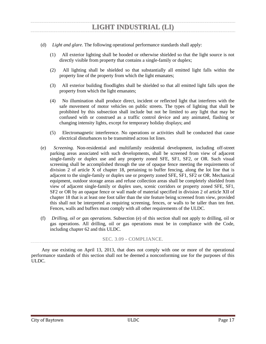- (d) *Light and glare.* The following operational performance standards shall apply:
	- (1) All exterior lighting shall be hooded or otherwise shielded so that the light source is not directly visible from property that contains a single-family or duplex;
	- (2) All lighting shall be shielded so that substantially all emitted light falls within the property line of the property from which the light emanates;
	- (3) All exterior building floodlights shall be shielded so that all emitted light falls upon the property from which the light emanates;
	- (4) No illumination shall produce direct, incident or reflected light that interferes with the safe movement of motor vehicles on public streets. The types of lighting that shall be prohibited by this subsection shall include but not be limited to any light that may be confused with or construed as a traffic control device and any animated, flashing or changing intensity lights, except for temporary holiday displays; and
	- (5) Electromagnetic interference. No operations or activities shall be conducted that cause electrical disturbances to be transmitted across lot lines.
- (e) *Screening.* Non-residential and multifamily residential development, including off-street parking areas associated with such developments, shall be screened from view of adjacent single-family or duplex use and any property zoned SFE, SF1, SF2, or OR. Such visual screening shall be accomplished through the use of opaque fence meeting the requirements of division 2 of article X of chapter 18, pertaining to buffer fencing, along the lot line that is adjacent to the single-family or duplex use or property zoned SFE, SF1, SF2 or OR. Mechanical equipment, outdoor storage areas and refuse collection areas shall be completely shielded from view of adjacent single-family or duplex uses, scenic corridors or property zoned SFE, SF1, SF2 or OR by an opaque fence or wall made of material specified in division 2 of article XII of chapter 18 that is at least one foot taller than the site feature being screened from view, provided this shall not be interpreted as requiring screening, fences, or walls to be taller than ten feet. Fences, walls and buffers must comply with all other requirements of the ULDC.
- (f) *Drilling, oil or gas operations.* Subsection (e) of this section shall not apply to drilling, oil or gas operations. All drilling, oil or gas operations must be in compliance with the Code, including chapter 62 and this ULDC.

### SEC. 3.09 - COMPLIANCE.

<span id="page-20-0"></span>Any use existing on April 13, 2013, that does not comply with one or more of the operational performance standards of this section shall not be deemed a nonconforming use for the purposes of this ULDC.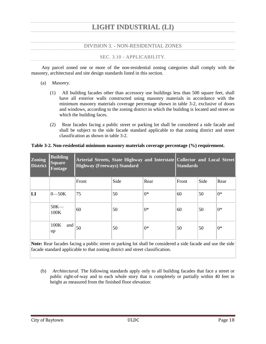### DIVISION 3. - NON-RESIDENTIAL ZONES

#### SEC. 3.10 - APPLICABILITY.

<span id="page-21-1"></span><span id="page-21-0"></span>Any parcel zoned one or more of the non-residential zoning categories shall comply with the masonry, architectural and site design standards listed in this section.

- (a) *Masonry.*
	- (1) All building facades other than accessory use buildings less than 500 square feet, shall have all exterior walls constructed using masonry materials in accordance with the minimum masonry materials coverage percentage shown in table 3-2, exclusive of doors and windows, according to the zoning district in which the building is located and street on which the building faces.
	- (2) Rear facades facing a public street or parking lot shall be considered a side facade and shall be subject to the side facade standard applicable to that zoning district and street classification as shown in table 3-2.

| $ $ Zoning<br><b>District</b> | <b>Building</b><br><b>Square</b><br>Footage | Arterial Streets, State Highway and Interstate Collector and Local Street<br><b>Highway (Freeways) Standard</b> |      |      | <b>Standards</b> |      |       |
|-------------------------------|---------------------------------------------|-----------------------------------------------------------------------------------------------------------------|------|------|------------------|------|-------|
|                               |                                             | Front                                                                                                           | Side | Rear | Front            | Side | Rear  |
| $\mathbf{L}\mathbf{I}$        | $0 - 50K$                                   | 75                                                                                                              | 50   | $0*$ | 60               | 50   | $0*$  |
|                               | $50K -$<br>100K                             | 60                                                                                                              | 50   | $0*$ | 60               | 50   | $0^*$ |
|                               | 100K<br>and<br>up                           | 50                                                                                                              | 50   | $0*$ | 50               | 50   | $0^*$ |

#### **Table 3-2. Non-residential minimum masonry materials coverage percentage (%) requirement.**

**Note:** Rear facades facing a public street or parking lot shall be considered a side facade and use the side facade standard applicable to that zoning district and street classification.

(b) *Architectural.* The following standards apply only to all building facades that face a street or public right-of-way and to each whole story that is completely or partially within 40 feet in height as measured from the finished floor elevation: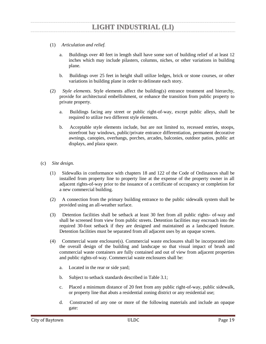- (1) *Articulation and relief.*
	- a. Buildings over 40 feet in length shall have some sort of building relief of at least 12 inches which may include pilasters, columns, niches, or other variations in building plane.
	- b. Buildings over 25 feet in height shall utilize ledges, brick or stone courses, or other variations in building plane in order to delineate each story.
- (2) *Style elements.* Style elements affect the building(s) entrance treatment and hierarchy, provide for architectural embellishment, or enhance the transition from public property to private property.
	- a. Buildings facing any street or public right-of-way, except public alleys, shall be required to utilize two different style elements.
	- b. Acceptable style elements include, but are not limited to, recessed entries, stoops, storefront bay windows, public/private entrance differentiation, permanent decorative awnings, canopies, overhangs, porches, arcades, balconies, outdoor patios, public art displays, and plaza space.
- (c) *Site design.*
	- (1) Sidewalks in conformance with chapters 18 and 122 of the Code of Ordinances shall be installed from property line to property line at the expense of the property owner in all adjacent rights-of-way prior to the issuance of a certificate of occupancy or completion for a new commercial building.
	- (2) A connection from the primary building entrance to the public sidewalk system shall be provided using an all-weather surface.
	- (3) Detention facilities shall be setback at least 30 feet from all public rights- of-way and shall be screened from view from public streets. Detention facilities may encroach into the required 30-foot setback if they are designed and maintained as a landscaped feature. Detention facilities must be separated from all adjacent uses by an opaque screen.
	- (4) Commercial waste enclosure(s). Commercial waste enclosures shall be incorporated into the overall design of the building and landscape so that visual impact of brush and commercial waste containers are fully contained and out of view from adjacent properties and public rights-of-way. Commercial waste enclosures shall be:
		- a. Located in the rear or side yard;
		- b. Subject to setback standards described in Table 3.1;
		- c. Placed a minimum distance of 20 feet from any public right-of-way, public sidewalk, or property line that abuts a residential zoning district or any residential use;
		- d. Constructed of any one or more of the following materials and include an opaque gate: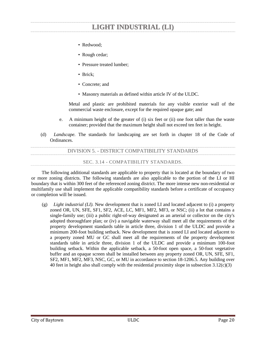- Redwood;
- Rough cedar;
- Pressure treated lumber;
- Brick:
- Concrete; and
- Masonry materials as defined within article IV of the ULDC.

Metal and plastic are prohibited materials for any visible exterior wall of the commercial waste enclosure, except for the required opaque gate; and

- e. A minimum height of the greater of (i) six feet or (ii) one foot taller than the waste container; provided that the maximum height shall not exceed ten feet in height.
- <span id="page-23-0"></span>(d) *Landscape.* The standards for landscaping are set forth in chapter 18 of the Code of Ordinances.

DIVISION 5. - DISTRICT COMPATIBILITY STANDARDS

SEC. 3.14 - COMPATIBILITY STANDARDS.

<span id="page-23-1"></span>The following additional standards are applicable to property that is located at the boundary of two or more zoning districts. The following standards are also applicable to the portion of the LI or HI boundary that is within 300 feet of the referenced zoning district. The more intense new non-residential or multifamily use shall implement the applicable compatibility standards before a certificate of occupancy or completion will be issued.

(g) *Light industrial (LI).* New development that is zoned LI and located adjacent to (i) a property zoned OR, UN, SFE, SF1, SF2, ACE, LC, MF1, MF2, MF3, or NSC; (ii) a lot that contains a single-family use; (iii) a public right-of-way designated as an arterial or collector on the city's adopted thoroughfare plan; or (iv) a navigable waterway shall meet all the requirements of the property development standards table in article three, division 1 of the ULDC and provide a minimum 200-foot building setback. New development that is zoned LI and located adjacent to a property zoned MU or GC shall meet all the requirements of the property development standards table in article three, division 1 of the ULDC and provide a minimum 100-foot building setback. Within the applicable setback, a 50-foot open space, a 50-foot vegetative buffer and an opaque screen shall be installed between any property zoned OR, UN, SFE, SF1, SF2, MF1, MF2, MF3, NSC, GC, or MU in accordance to section 18-1206.5. Any building over 40 feet in height also shall comply with the residential proximity slope in subsection 3.12(c)(3)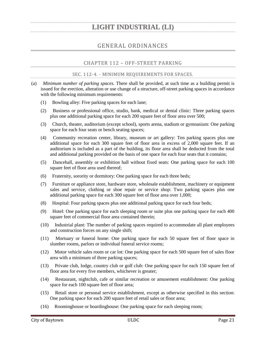### GENERAL ORDINANCES

### CHAPTER 112 – OFF-STREET PARKING

### SEC. 112-4. - MINIMUM REQUIREMENTS FOR SPACES.

- <span id="page-24-2"></span><span id="page-24-1"></span><span id="page-24-0"></span>(a) *Minimum number of parking spaces.* There shall be provided, at such time as a building permit is issued for the erection, alteration or use change of a structure, off-street parking spaces in accordance with the following minimum requirements:
	- (1) Bowling alley: Five parking spaces for each lane;
	- (2) Business or professional office, studio, bank, medical or dental clinic: Three parking spaces plus one additional parking space for each 200 square feet of floor area over 500;
	- (3) Church, theater, auditorium (except school), sports arena, stadium or gymnasium: One parking space for each four seats or bench seating spaces;
	- (4) Community recreation center, library, museum or art gallery: Ten parking spaces plus one additional space for each 300 square feet of floor area in excess of 2,000 square feet. If an auditorium is included as a part of the building, its floor area shall be deducted from the total and additional parking provided on the basis of one space for each four seats that it contains;
	- (5) Dancehall, assembly or exhibition hall without fixed seats: One parking space for each 100 square feet of floor area used thereof;
	- (6) Fraternity, sorority or dormitory: One parking space for each three beds;
	- (7) Furniture or appliance store, hardware store, wholesale establishment, machinery or equipment sales and service, clothing or shoe repair or service shop: Two parking spaces plus one additional parking space for each 300 square feet of floor area over 1,000;
	- (8) Hospital: Four parking spaces plus one additional parking space for each four beds;
	- (9) Hotel: One parking space for each sleeping room or suite plus one parking space for each 400 square feet of commercial floor area contained therein;
	- (10) Industrial plant: The number of parking spaces required to accommodate all plant employees and construction forces on any single shift;
	- (11) Mortuary or funeral home: One parking space for each 50 square feet of floor space in slumber rooms, parlors or individual funeral service rooms;
	- (12) Motor vehicle sales room or car lot: One parking space for each 500 square feet of sales floor area with a minimum of three parking spaces;
	- (13) Private club, lodge, country club or golf club: One parking space for each 150 square feet of floor area for every five members, whichever is greater;
	- (14) Restaurant, nightclub, cafe or similar recreation or amusement establishment: One parking space for each 100 square feet of floor area;
	- (15) Retail store or personal service establishment, except as otherwise specified in this section: One parking space for each 200 square feet of retail sales or floor area;
	- (16) Roominghouse or boardinghouse: One parking space for each sleeping room;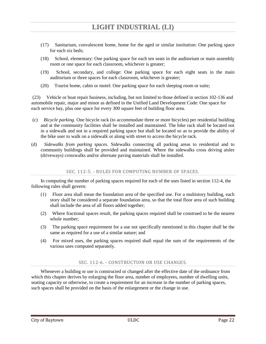- (17) Sanitarium, convalescent home, home for the aged or similar institution: One parking space for each six beds;
- (18) School, elementary: One parking space for each ten seats in the auditorium or main assembly room or one space for each classroom, whichever is greater;
- (19) School, secondary, and college: One parking space for each eight seats in the main auditorium or three spaces for each classroom, whichever is greater;
- (20) Tourist home, cabin or motel: One parking space for each sleeping room or suite;

(23) Vehicle or boat repair business, including, but not limited to those defined in section 102-136 and automobile repair, major and minor as defined in the Unified Land Development Code: One space for each service bay, plus one space for every 300 square feet of building floor area.

- (c) *Bicycle parking.* One bicycle rack (to accommodate three or more bicycles) per residential building and at the community facilities shall be installed and maintained. The bike rack shall be located not in a sidewalk and not in a required parking space but shall be located so as to provide the ability of the bike user to walk on a sidewalk or along with street to access the bicycle rack.
- (d) *Sidewalks from parking spaces.* Sidewalks connecting all parking areas to residential and to community buildings shall be provided and maintained. Where the sidewalks cross driving aisles (driveways) crosswalks and/or alternate paving materials shall be installed.

SEC. 112-5. - RULES FOR COMPUTING NUMBER OF SPACES.

<span id="page-25-0"></span>In computing the number of parking spaces required for each of the uses listed in section 112-4, the following rules shall govern:

- (1) Floor area shall mean the foundation area of the specified use. For a multistory building, each story shall be considered a separate foundation area, so that the total floor area of such building shall include the area of all floors added together;
- (2) Where fractional spaces result, the parking spaces required shall be construed to be the nearest whole number;
- (3) The parking space requirement for a use not specifically mentioned in this chapter shall be the same as required for a use of a similar nature; and
- (4) For mixed uses, the parking spaces required shall equal the sum of the requirements of the various uses computed separately.

### SEC. 112-6. - CONSTRUCTION OR USE CHANGES.

<span id="page-25-1"></span>Whenever a building or use is constructed or changed after the effective date of the ordinance from which this chapter derives by enlarging the floor area, number of employees, number of dwelling units, seating capacity or otherwise, to create a requirement for an increase in the number of parking spaces, such spaces shall be provided on the basis of the enlargement or the change in use.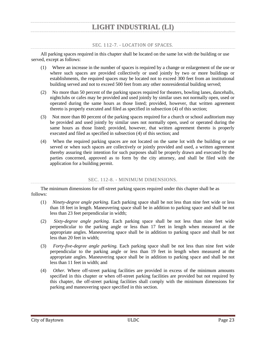### SEC. 112-7. - LOCATION OF SPACES.

<span id="page-26-0"></span>All parking spaces required in this chapter shall be located on the same lot with the building or use served, except as follows:

- (1) Where an increase in the number of spaces is required by a change or enlargement of the use or where such spaces are provided collectively or used jointly by two or more buildings or establishments, the required spaces may be located not to exceed 300 feet from an institutional building served and not to exceed 500 feet from any other nonresidential building served;
- (2) No more than 50 percent of the parking spaces required for theaters, bowling lanes, dancehalls, nightclubs or cafes may be provided and used jointly by similar uses not normally open, used or operated during the same hours as those listed; provided, however, that written agreement thereto is properly executed and filed as specified in subsection (4) of this section;
- (3) Not more than 80 percent of the parking spaces required for a church or school auditorium may be provided and used jointly by similar uses not normally open, used or operated during the same hours as those listed; provided, however, that written agreement thereto is properly executed and filed as specified in subsection (4) of this section; and
- (4) When the required parking spaces are not located on the same lot with the building or use served or when such spaces are collectively or jointly provided and used, a written agreement thereby assuring their intention for such purposes shall be properly drawn and executed by the parties concerned, approved as to form by the city attorney, and shall be filed with the application for a building permit.

### SEC. 112-8. - MINIMUM DIMENSIONS.

<span id="page-26-1"></span>The minimum dimensions for off-street parking spaces required under this chapter shall be as follows:

- (1) *Ninety-degree angle parking.* Each parking space shall be not less than nine feet wide or less than 18 feet in length. Maneuvering space shall be in addition to parking space and shall be not less than 23 feet perpendicular in width;
- (2) *Sixty-degree angle parking.* Each parking space shall be not less than nine feet wide perpendicular to the parking angle or less than 17 feet in length when measured at the appropriate angles. Maneuvering space shall be in addition to parking space and shall be not less than 20 feet in width;
- (3) *Forty-five-degree angle parking.* Each parking space shall be not less than nine feet wide perpendicular to the parking angle or less than 19 feet in length when measured at the appropriate angles. Maneuvering space shall be in addition to parking space and shall be not less than 11 feet in width; and
- (4) *Other.* Where off-street parking facilities are provided in excess of the minimum amounts specified in this chapter or when off-street parking facilities are provided but not required by this chapter, the off-street parking facilities shall comply with the minimum dimensions for parking and maneuvering space specified in this section.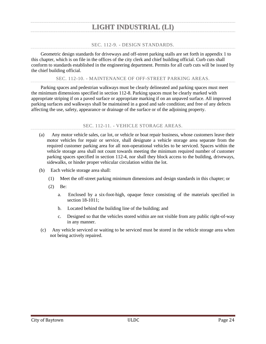### SEC. 112-9. - DESIGN STANDARDS.

<span id="page-27-0"></span>Geometric design standards for driveways and off-street parking stalls are set forth in appendix 1 to this chapter, which is on file in the offices of the city clerk and chief building official. Curb cuts shall conform to standards established in the engineering department. Permits for all curb cuts will be issued by the chief building official.

### SEC. 112-10. - MAINTENANCE OF OFF-STREET PARKING AREAS.

<span id="page-27-1"></span>Parking spaces and pedestrian walkways must be clearly delineated and parking spaces must meet the minimum dimensions specified in section 112-8. Parking spaces must be clearly marked with appropriate striping if on a paved surface or appropriate marking if on an unpaved surface. All improved parking surfaces and walkways shall be maintained in a good and safe condition; and free of any defects affecting the use, safety, appearance or drainage of the surface or of the adjoining property.

### SEC. 112-11. - VEHICLE STORAGE AREAS.

- <span id="page-27-2"></span>(a) Any motor vehicle sales, car lot, or vehicle or boat repair business, whose customers leave their motor vehicles for repair or service, shall designate a vehicle storage area separate from the required customer parking area for all non-operational vehicles to be serviced. Spaces within the vehicle storage area shall not count towards meeting the minimum required number of customer parking spaces specified in section 112-4, nor shall they block access to the building, driveways, sidewalks, or hinder proper vehicular circulation within the lot.
- (b) Each vehicle storage area shall:
	- (1) Meet the off-street parking minimum dimensions and design standards in this chapter; or
	- (2) Be:
		- a. Enclosed by a six-foot-high, opaque fence consisting of the materials specified in section 18-1011;
		- b. Located behind the building line of the building; and
		- c. Designed so that the vehicles stored within are not visible from any public right-of-way in any manner.
- (c) Any vehicle serviced or waiting to be serviced must be stored in the vehicle storage area when not being actively repaired.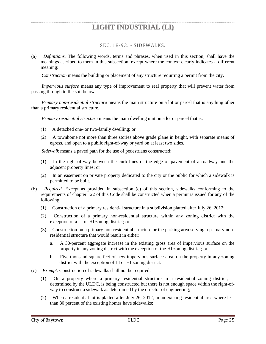SEC. 18-93. - SIDEWALKS.

<span id="page-28-0"></span>(a) *Definitions.* The following words, terms and phrases, when used in this section, shall have the meanings ascribed to them in this subsection, except where the context clearly indicates a different meaning:

*Construction* means the building or placement of any structure requiring a permit from the city.

*Impervious surface* means any type of improvement to real property that will prevent water from passing through to the soil below.

*Primary non-residential structure* means the main structure on a lot or parcel that is anything other than a primary residential structure.

*Primary residential structure* means the main dwelling unit on a lot or parcel that is:

- (1) A detached one- or two-family dwelling; or
- (2) A townhome not more than three stories above grade plane in height, with separate means of egress, and open to a public right-of-way or yard on at least two sides.

*Sidewalk* means a paved path for the use of pedestrians constructed:

- (1) In the right-of-way between the curb lines or the edge of pavement of a roadway and the adjacent property lines; or
- (2) In an easement on private property dedicated to the city or the public for which a sidewalk is permitted to be built.
- (b) *Required.* Except as provided in subsection (c) of this section, sidewalks conforming to the requirements of chapter 122 of this Code shall be constructed when a permit is issued for any of the following:
	- (1) Construction of a primary residential structure in a subdivision platted after July 26, 2012;
	- (2) Construction of a primary non-residential structure within any zoning district with the exception of a LI or HI zoning district; or
	- (3) Construction on a primary non-residential structure or the parking area serving a primary nonresidential structure that would result in either:
		- a. A 30-percent aggregate increase in the existing gross area of impervious surface on the property in any zoning district with the exception of the HI zoning district; or
		- b. Five thousand square feet of new impervious surface area, on the property in any zoning district with the exception of LI or HI zoning district.
- (c) *Exempt.* Construction of sidewalks shall not be required:
	- (1) On a property where a primary residential structure in a residential zoning district, as determined by the ULDC, is being constructed but there is not enough space within the right-ofway to construct a sidewalk as determined by the director of engineering;
	- (2) When a residential lot is platted after July 26, 2012, in an existing residential area where less than 80 percent of the existing homes have sidewalks;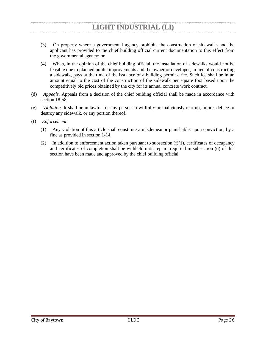- (3) On property where a governmental agency prohibits the construction of sidewalks and the applicant has provided to the chief building official current documentation to this effect from the governmental agency; or
- (4) When, in the opinion of the chief building official, the installation of sidewalks would not be feasible due to planned public improvements and the owner or developer, in lieu of constructing a sidewalk, pays at the time of the issuance of a building permit a fee. Such fee shall be in an amount equal to the cost of the construction of the sidewalk per square foot based upon the competitively bid prices obtained by the city for its annual concrete work contract.
- (d) *Appeals.* Appeals from a decision of the chief building official shall be made in accordance with section 18-58.
- (e) *Violation.* It shall be unlawful for any person to willfully or maliciously tear up, injure, deface or destroy any sidewalk, or any portion thereof.
- (f) *Enforcement.*
	- (1) Any violation of this article shall constitute a misdemeanor punishable, upon conviction, by a fine as provided in section 1-14.
	- (2) In addition to enforcement action taken pursuant to subsection  $(f)(1)$ , certificates of occupancy and certificates of completion shall be withheld until repairs required in subsection (d) of this section have been made and approved by the chief building official.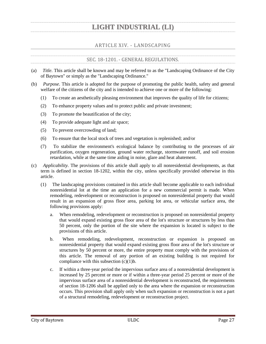### ARTICLE XIV. - LANDSCAPING

### SEC. 18-1201. - GENERAL REGULATIONS.

- <span id="page-30-1"></span><span id="page-30-0"></span>(a) *Title.* This article shall be known and may be referred to as the "Landscaping Ordinance of the City of Baytown" or simply as the "Landscaping Ordinance."
- (b) *Purpose.* This article is adopted for the purpose of promoting the public health, safety and general welfare of the citizens of the city and is intended to achieve one or more of the following:
	- (1) To create an aesthetically pleasing environment that improves the quality of life for citizens;
	- (2) To enhance property values and to protect public and private investment;
	- (3) To promote the beautification of the city;
	- (4) To provide adequate light and air space;
	- (5) To prevent overcrowding of land;
	- (6) To ensure that the local stock of trees and vegetation is replenished; and/or
	- (7) To stabilize the environment's ecological balance by contributing to the processes of air purification, oxygen regeneration, ground water recharge, stormwater runoff, and soil erosion retardation, while at the same time aiding in noise, glare and heat abatement.
- (c) *Applicability.* The provisions of this article shall apply to all nonresidential developments, as that term is defined in section 18-1202, within the city, unless specifically provided otherwise in this article.
	- (1) The landscaping provisions contained in this article shall become applicable to each individual nonresidential lot at the time an application for a new commercial permit is made. When remodeling, redevelopment or reconstruction is proposed on nonresidential property that would result in an expansion of gross floor area, parking lot area, or vehicular surface area, the following provisions apply:
		- a. When remodeling, redevelopment or reconstruction is proposed on nonresidential property that would expand existing gross floor area of the lot's structure or structures by less than 50 percent, only the portion of the site where the expansion is located is subject to the provisions of this article.
		- b. When remodeling, redevelopment, reconstruction or expansion is proposed on nonresidential property that would expand existing gross floor area of the lot's structure or structures by 50 percent or more, the entire property must comply with the provisions of this article. The removal of any portion of an existing building is not required for compliance with this subsection (c)(1)b.
		- c. If within a three-year period the impervious surface area of a nonresidential development is increased by 25 percent or more or if within a three-year period 25 percent or more of the impervious surface area of a nonresidential development is reconstructed, the requirements of section 18-1206 shall be applied only to the area where the expansion or reconstruction occurs. This provision shall apply only when such expansion or reconstruction is not a part of a structural remodeling, redevelopment or reconstruction project.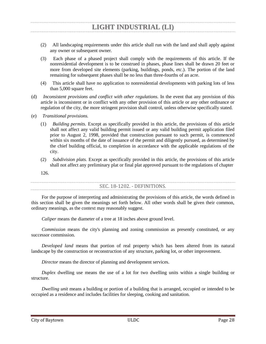- (2) All landscaping requirements under this article shall run with the land and shall apply against any owner or subsequent owner.
- (3) Each phase of a phased project shall comply with the requirements of this article. If the nonresidential development is to be construed in phases, phase lines shall be drawn 20 feet or more from developed site elements (parking, buildings, ponds, etc.). The portion of the land remaining for subsequent phases shall be no less than three-fourths of an acre.
- (4) This article shall have no application to nonresidential developments with parking lots of less than 5,000 square feet.
- (d) *Inconsistent provisions and conflict with other regulations.* In the event that any provision of this article is inconsistent or in conflict with any other provision of this article or any other ordinance or regulation of the city, the more stringent provision shall control, unless otherwise specifically stated.
- (e) *Transitional provisions.*
	- (1) *Building permits.* Except as specifically provided in this article, the provisions of this article shall not affect any valid building permit issued or any valid building permit application filed prior to August 2, 1998, provided that construction pursuant to such permit, is commenced within six months of the date of issuance of the permit and diligently pursued, as determined by the chief building official, to completion in accordance with the applicable regulations of the city.
	- (2) *Subdivision plats.* Except as specifically provided in this article, the provisions of this article shall not affect any preliminary plat or final plat approved pursuant to the regulations of chapter
	- 126.

### SEC. 18-1202. - DEFINITIONS.

<span id="page-31-0"></span>For the purpose of interpreting and administrating the provisions of this article, the words defined in this section shall be given the meanings set forth below. All other words shall be given their common, ordinary meanings, as the context may reasonably suggest.

*Caliper* means the diameter of a tree at 18 inches above ground level.

*Commission* means the city's planning and zoning commission as presently constituted, or any successor commission.

*Developed land* means that portion of real property which has been altered from its natural landscape by the construction or reconstruction of any structure, parking lot, or other improvement.

*Director* means the director of planning and development services.

*Duplex* dwelling use means the use of a lot for two dwelling units within a single building or structure.

*Dwelling unit* means a building or portion of a building that is arranged, occupied or intended to be occupied as a residence and includes facilities for sleeping, cooking and sanitation.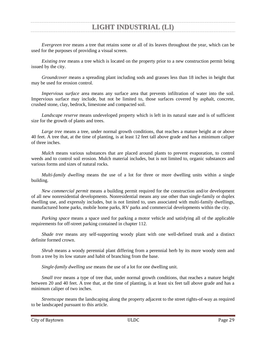*Evergreen tree* means a tree that retains some or all of its leaves throughout the year, which can be used for the purposes of providing a visual screen.

*Existing tree* means a tree which is located on the property prior to a new construction permit being issued by the city.

*Groundcover* means a spreading plant including sods and grasses less than 18 inches in height that may be used for erosion control.

*Impervious surface* area means any surface area that prevents infiltration of water into the soil. Impervious surface may include, but not be limited to, those surfaces covered by asphalt, concrete, crushed stone, clay, bedrock, limestone and compacted soil.

*Landscape reserve* means undeveloped property which is left in its natural state and is of sufficient size for the growth of plants and trees.

*Large tree* means a tree, under normal growth conditions, that reaches a mature height at or above 40 feet. A tree that, at the time of planting, is at least 12 feet tall above grade and has a minimum caliper of three inches.

*Mulch* means various substances that are placed around plants to prevent evaporation, to control weeds and to control soil erosion. Mulch material includes, but is not limited to, organic substances and various forms and sizes of natural rocks.

*Multi-family dwelling* means the use of a lot for three or more dwelling units within a single building.

*New commercial permit* means a building permit required for the construction and/or development of all new nonresidential developments. Nonresidential means any use other than single-family or duplex dwelling use, and expressly includes, but is not limited to, uses associated with multi-family dwellings, manufactured home parks, mobile home parks, RV parks and commercial developments within the city.

*Parking space* means a space used for parking a motor vehicle and satisfying all of the applicable requirements for off-street parking contained in chapter 112.

*Shade tree* means any self-supporting woody plant with one well-defined trunk and a distinct definite formed crown.

*Shrub* means a woody perennial plant differing from a perennial herb by its more woody stem and from a tree by its low stature and habit of branching from the base.

*Single-family dwelling use* means the use of a lot for one dwelling unit.

*Small tree* means a type of tree that, under normal growth conditions, that reaches a mature height between 20 and 40 feet. A tree that, at the time of planting, is at least six feet tall above grade and has a minimum caliper of two inches.

*Streetscape* means the landscaping along the property adjacent to the street rights-of-way as required to be landscaped pursuant to this article.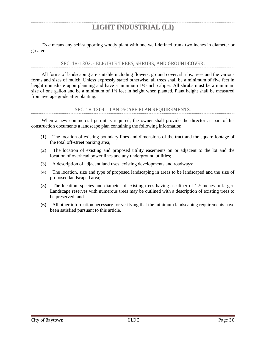*Tree* means any self-supporting woody plant with one well-defined trunk two inches in diameter or greater.

### SEC. 18-1203. - ELIGIBLE TREES, SHRUBS, AND GROUNDCOVER.

<span id="page-33-0"></span>All forms of landscaping are suitable including flowers, ground cover, shrubs, trees and the various forms and sizes of mulch. Unless expressly stated otherwise, all trees shall be a minimum of five feet in height immediate upon planning and have a minimum 1½-inch caliper. All shrubs must be a minimum size of one gallon and be a minimum of 1½ feet in height when planted. Plant height shall be measured from average grade after planting.

### SEC. 18-1204. - LANDSCAPE PLAN REQUIREMENTS.

<span id="page-33-1"></span>When a new commercial permit is required, the owner shall provide the director as part of his construction documents a landscape plan containing the following information:

- (1) The location of existing boundary lines and dimensions of the tract and the square footage of the total off-street parking area;
- (2) The location of existing and proposed utility easements on or adjacent to the lot and the location of overhead power lines and any underground utilities;
- (3) A description of adjacent land uses, existing developments and roadways;
- (4) The location, size and type of proposed landscaping in areas to be landscaped and the size of proposed landscaped area;
- (5) The location, species and diameter of existing trees having a caliper of 1½ inches or larger. Landscape reserves with numerous trees may be outlined with a description of existing trees to be preserved; and
- (6) All other information necessary for verifying that the minimum landscaping requirements have been satisfied pursuant to this article.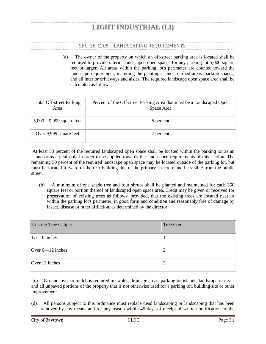### SEC. 18-1205. - LANDSCAPING REQUIREMENTS.

<span id="page-34-0"></span>(a) The owner of the property on which an off-street parking area is located shall be required to provide interior landscaped open spaces for any parking lot 5,000 square feet or larger. All areas within the parking lot's perimeter are counted toward the landscape requirement, including the planting islands, curbed areas, parking spaces, and all interior driveways and aisles. The required landscape open space area shall be calculated as follows:

| <b>Total Off-street Parking</b><br>Area | Percent of the Off-street Parking Area that must be a Landscaped Open<br>Space Area |
|-----------------------------------------|-------------------------------------------------------------------------------------|
| 5,000 $-9,999$ square feet              | 5 percent                                                                           |
| Over 9,999 square feet                  | 7 percent                                                                           |

At least 50 percent of the required landscaped open space shall be located within the parking lot as an island or as a peninsula in order to be applied towards the landscaped requirements of this section. The remaining 50 percent of the required landscape open space may be located outside of the parking lot, but must be located forward of the rear building line of the primary structure and be visible from the public street.

(b) A minimum of one shade tree and four shrubs shall be planted and maintained for each 350 square feet or portion thereof of landscaped open space area. Credit may be given or received for preservation of existing trees as follows; provided, that the existing trees are located near or within the parking lot's perimeter, in good form and condition and reasonably free of damage by insect, disease or other affliction, as determined by the director:

| <b>Existing Tree Caliper</b> | Tree Credit |
|------------------------------|-------------|
| $1\frac{1}{2}$ inches        |             |
| Over $6-12$ inches           | ∸           |
| Over 12 inches               | Ć           |

(c) Groundcover or mulch is required in swales, drainage areas, parking lot islands, landscape reserves and all unpaved portions of the property that is not otherwise used for a parking lot, building site or other improvement.

(d) All persons subject to this ordinance must replace dead landscaping or landscaping that has been removed by any means and for any reason within 45 days of receipt of written notification by the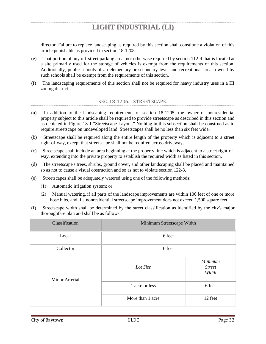director. Failure to replace landscaping as required by this section shall constitute a violation of this article punishable as provided in section 18-1208.

- (e) That portion of any off-street parking area, not otherwise required by section 112-4 that is located at a site primarily used for the storage of vehicles is exempt from the requirements of this section. Additionally, public schools of an elementary or secondary level and recreational areas owned by such schools shall be exempt from the requirements of this section.
- <span id="page-35-0"></span>(f) The landscaping requirements of this section shall not be required for heavy industry uses in a HI zoning district.

### SEC. 18-1206. - STREETSCAPE.

- (a) In addition to the landscaping requirements of section 18-1205, the owner of nonresidential property subject to this article shall be required to provide streetscape as described in this section and as depicted in Figure 18-1 "Streetscape Layout." Nothing in this subsection shall be construed as to require streetscape on undeveloped land. Streetscapes shall be no less than six feet wide.
- (b) Streetscape shall be required along the entire length of the property which is adjacent to a street right-of-way, except that streetscape shall not be required across driveways.
- (c) Streetscape shall include an area beginning at the property line which is adjacent to a street right-ofway, extending into the private property to establish the required width as listed in this section.
- (d) The streetscape's trees, shrubs, ground cover, and other landscaping shall be placed and maintained so as not to cause a visual obstruction and so as not to violate section 122-3.
- (e) Streetscapes shall be adequately watered using one of the following methods:
	- (1) Automatic irrigation system; or
	- (2) Manual watering, if all parts of the landscape improvements are within 100 feet of one or more hose bibs, and if a nonresidential streetscape improvement does not exceed 1,500 square feet.
- (f) Streetscape width shall be determined by the street classification as identified by the city's major thoroughfare plan and shall be as follows:

| Classification        | Minimum Streetscape Width |                                   |  |  |  |
|-----------------------|---------------------------|-----------------------------------|--|--|--|
| Local                 | 6 feet                    |                                   |  |  |  |
| Collector             | 6 feet                    |                                   |  |  |  |
| <b>Minor Arterial</b> | Lot Size                  | Minimum<br><b>Street</b><br>Width |  |  |  |
|                       | 1 acre or less            | 6 feet                            |  |  |  |
|                       | More than 1 acre          | 12 feet                           |  |  |  |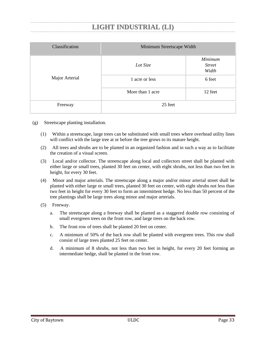| Classification | Minimum Streetscape Width |                                   |  |  |
|----------------|---------------------------|-----------------------------------|--|--|
|                | Lot Size                  | Minimum<br><b>Street</b><br>Width |  |  |
| Major Arterial | 1 acre or less            | 6 feet                            |  |  |
|                | More than 1 acre          | 12 feet                           |  |  |
| Freeway        | 25 feet                   |                                   |  |  |

- (g) Streetscape planting installation.
	- (1) Within a streetscape, large trees can be substituted with small trees where overhead utility lines will conflict with the large tree at or before the tree grows to its mature height.
	- (2) All trees and shrubs are to be planted in an organized fashion and in such a way as to facilitate the creation of a visual screen.
	- (3) Local and/or collector. The streetscape along local and collectors street shall be planted with either large or small trees, planted 30 feet on center, with eight shrubs, not less than two feet in height, for every 30 feet.
	- (4) Minor and major arterials. The streetscape along a major and/or minor arterial street shall be planted with either large or small trees, planted 30 feet on center, with eight shrubs not less than two feet in height for every 30 feet to form an intermittent hedge. No less than 50 percent of the tree plantings shall be large trees along minor and major arterials.
	- (5) Freeway.
		- a. The streetscape along a freeway shall be planted as a staggered double row consisting of small evergreen trees on the front row, and large trees on the back row.
		- b. The front row of trees shall be planted 20 feet on center.
		- c. A minimum of 50% of the back row shall be planted with evergreen trees. This row shall consist of large trees planted 25 feet on center.
		- d. A minimum of 8 shrubs, not less than two feet in height, for every 20 feet forming an intermediate hedge, shall be planted in the front row.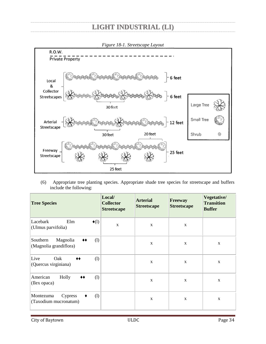

(6) Appropriate tree planting species. Appropriate shade tree species for streetscape and buffers include the following:

| <b>Tree Species</b>                                                                   | Local/<br><b>Collector</b><br><b>Streetscape</b> | <b>Arterial</b><br><b>Streetscape</b> | <b>Freeway</b><br><b>Streetscape</b> | Vegetative/<br><b>Transition</b><br><b>Buffer</b> |
|---------------------------------------------------------------------------------------|--------------------------------------------------|---------------------------------------|--------------------------------------|---------------------------------------------------|
| Elm<br>Lacebark<br>$\triangleleft(1)$<br>(Ulmus parvifolia)                           | $\mathbf X$                                      | X                                     | $\mathbf X$                          |                                                   |
| Magnolia<br>(1)<br>Southern<br>$\blacklozenge\blacklozenge$<br>(Magnolia grandiflora) |                                                  | $\mathbf{X}$                          | $\mathbf X$                          | $\mathbf X$                                       |
| Live<br>Oak<br>(1)<br>♦♦<br>(Quercus virginiana)                                      |                                                  | $\mathbf X$                           | $\mathbf X$                          | $\mathbf X$                                       |
| American<br>Holly<br>(1)<br>$\blacklozenge\blacklozenge$<br>(Ilex opaca)              |                                                  | $\mathbf X$                           | $\mathbf X$                          | $\mathbf X$                                       |
| (1)<br>Montezuma<br>Cypress<br>٠<br>(Taxodium mucronatum)                             |                                                  | $\mathbf X$                           | $\mathbf X$                          | $\mathbf X$                                       |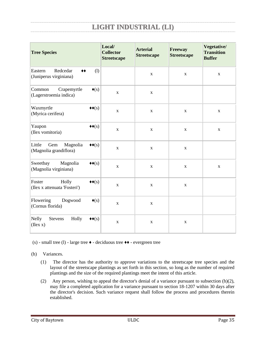| <b>Tree Species</b>                                                                             | Local/<br><b>Collector</b><br><b>Streetscape</b> | <b>Arterial</b><br><b>Streetscape</b> | <b>Freeway</b><br><b>Streetscape</b> | Vegetative/<br><b>Transition</b><br><b>Buffer</b> |
|-------------------------------------------------------------------------------------------------|--------------------------------------------------|---------------------------------------|--------------------------------------|---------------------------------------------------|
| Redcedar<br>Eastern<br>(1)<br>$\blacklozenge\blacklozenge$<br>(Juniperus virginiana)            |                                                  | $\mathbf X$                           | $\mathbf X$                          | $\mathbf X$                                       |
| Crapemyrtle<br>Common<br>$\blacklozenge(s)$<br>(Lagerstroemia indica)                           | $\mathbf X$                                      | $\mathbf X$                           |                                      |                                                   |
| Waxmyrtle<br>$\blacklozenge\blacklozenge(\mathbf{s})$<br>(Myrica cerifera)                      | $\mathbf X$                                      | $\mathbf X$                           | $\mathbf X$                          | $\mathbf X$                                       |
| Yaupon<br>$\leftrightarrow$ (s)<br>(Ilex vomitoria)                                             | $\mathbf X$                                      | $\mathbf X$                           | $\mathbf X$                          | $\mathbf X$                                       |
| Little<br>Gem<br>Magnolia<br>$\blacklozenge\blacklozenge(\mathbf{s})$<br>(Magnolia grandiflora) | $\mathbf X$                                      | $\mathbf X$                           | $\mathbf X$                          |                                                   |
| Sweetbay<br>Magnolia<br>$\blacklozenge\blacklozenge(\mathbf{s})$<br>(Magnolia virginiana)       | $\mathbf X$                                      | $\mathbf X$                           | $\mathbf X$                          | $\mathbf X$                                       |
| Foster<br>Holly<br>$\blacklozenge(\mathbf{s})$<br>(Ilex x attenuata 'Fosteri')                  | $\mathbf X$                                      | $\mathbf X$                           | $\mathbf X$                          |                                                   |
| Flowering<br>Dogwood<br>$\blacklozenge(s)$<br>(Cornus florida)                                  | $\mathbf X$                                      | $\mathbf X$                           |                                      |                                                   |
| <b>Nelly</b><br>Holly<br>Stevens<br>$\blacklozenge(\mathbf{s})$<br>$($ Ilex $x)$                | $\mathbf X$                                      | $\mathbf X$                           | $\mathbf X$                          |                                                   |

(s) - small tree (l) - large tree ♦ - deciduous tree ♦♦ - evergreen tree

(h) Variances.

- (1) The director has the authority to approve variations to the streetscape tree species and the layout of the streetscape plantings as set forth in this section, so long as the number of required plantings and the size of the required plantings meet the intent of this article.
- (2) Any person, wishing to appeal the director's denial of a variance pursuant to subsection (h)(2), may file a completed application for a variance pursuant to section 18-1207 within 30 days after the director's decision. Such variance request shall follow the process and procedures therein established.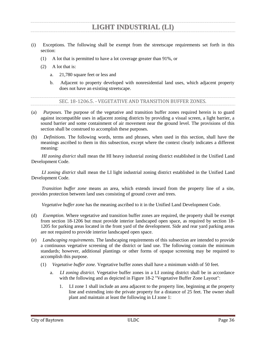- (i) Exceptions. The following shall be exempt from the streetscape requirements set forth in this section:
	- (1) A lot that is permitted to have a lot coverage greater than 91%, or
	- (2) A lot that is:
		- a. 21,780 square feet or less and
		- b. Adjacent to property developed with nonresidential land uses, which adjacent property does not have an existing streetscape.

SEC. 18-1206.5. - VEGETATIVE AND TRANSITION BUFFER ZONES.

- <span id="page-39-0"></span>(a) *Purposes.* The purpose of the vegetative and transition buffer zones required herein is to guard against incompatible uses in adjacent zoning districts by providing a visual screen, a light barrier, a sound barrier and some containment of air movement near the ground level. The provisions of this section shall be construed to accomplish these purposes.
- (b) *Definitions.* The following words, terms and phrases, when used in this section, shall have the meanings ascribed to them in this subsection, except where the context clearly indicates a different meaning:

*HI zoning district* shall mean the HI heavy industrial zoning district established in the Unified Land Development Code.

*LI zoning district* shall mean the LI light industrial zoning district established in the Unified Land Development Code.

*Transition buffer zone* means an area, which extends inward from the property line of a site, provides protection between land uses consisting of ground cover and trees.

*Vegetative buffer zone* has the meaning ascribed to it in the Unified Land Development Code.

- (d) *Exemption.* Where vegetative and transition buffer zones are required, the property shall be exempt from section 18-1206 but must provide interior landscaped open space, as required by section 18- 1205 for parking areas located in the front yard of the development. Side and rear yard parking areas are not required to provide interior landscaped open space.
- (e) *Landscaping requirements.* The landscaping requirements of this subsection are intended to provide a continuous vegetative screening of the district or land use. The following contain the minimum standards; however, additional plantings or other forms of opaque screening may be required to accomplish this purpose.
	- (1) *Vegetative buffer zone.* Vegetative buffer zones shall have a minimum width of 50 feet.
		- a. *LI zoning district.* Vegetative buffer zones in a LI zoning district shall be in accordance with the following and as depicted in Figure 18-2 "Vegetative Buffer Zone Layout":
			- 1. LI zone 1 shall include an area adjacent to the property line, beginning at the property line and extending into the private property for a distance of 25 feet. The owner shall plant and maintain at least the following in LI zone 1: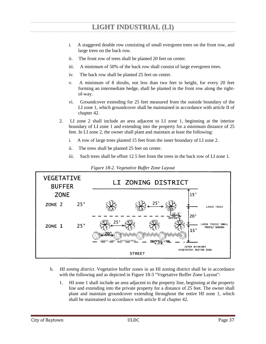- i. A staggered double row consisting of small evergreen trees on the front row, and large trees on the back row.
- ii. The front row of trees shall be planted 20 feet on center.
- iii. A minimum of 50% of the back row shall consist of large evergreen trees.
- iv. The back row shall be planted 25 feet on center.
- v. A minimum of 8 shrubs, not less than two feet in height, for every 20 feet forming an intermediate hedge, shall be planted in the front row along the rightof-way.
- vi. Groundcover extending for 25 feet measured from the outside boundary of the LI zone 1, which groundcover shall be maintained in accordance with article II of chapter 42.
- 2. LI zone 2 shall include an area adjacent to LI zone 1, beginning at the interior boundary of LI zone 1 and extending into the property for a minimum distance of 25 feet. In LI zone 2, the owner shall plant and maintain at least the following:
	- i. A row of large trees planted 15 feet from the inner boundary of LI zone 2.
	- ii. The trees shall be planted 25 feet on center.
	- iii. Such trees shall be offset 12.5 feet from the trees in the back row of LI zone 1.

| <b>VEGETATIVE</b><br><b>BUFFER</b><br><b>ZONE</b> |     | LI ZONING DISTRICT<br>15'                                                                                    |
|---------------------------------------------------|-----|--------------------------------------------------------------------------------------------------------------|
| ZONE <sub>2</sub>                                 | 25' | 25'<br><b>LARGE TREES</b><br>12.5'                                                                           |
| ZONE <sub>1</sub>                                 | 25' | 20'<br>OFFSET<br>25'<br>LARGE TREES/ SMALL<br>TREES/ SHRUBS<br>15'                                           |
|                                                   |     | GRASS THAT'S MAINTAINED<br>PROPERTY LINE<br><b>OUTER BOUNDARY</b><br>VEGETATIVE BUFFER ZONE<br><b>STREET</b> |

*Figure 18-2. Vegetative Buffer Zone Layout* 

- b. *HI zoning district.* Vegetative buffer zones in an HI zoning district shall be in accordance with the following and as depicted in Figure 18-3 "Vegetative Buffer Zone Layout":
	- 1. HI zone 1 shall include an area adjacent to the property line, beginning at the property line and extending into the private property for a distance of 25 feet. The owner shall plant and maintain groundcover extending throughout the entire HI zone 1, which shall be maintained in accordance with article II of chapter 42.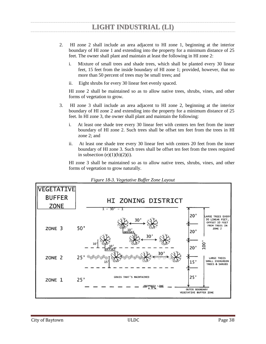- 2. HI zone 2 shall include an area adjacent to HI zone 1, beginning at the interior boundary of HI zone 1 and extending into the property for a minimum distance of 25 feet. The owner shall plant and maintain at least the following in HI zone 2:
	- i. Mixture of small trees and shade trees, which shall be planted every 30 linear feet, 15 feet from the inside boundary of HI zone 1; provided, however, that no more than 50 percent of trees may be small trees; and
	- ii. Eight shrubs for every 30 linear feet evenly spaced.

HI zone 2 shall be maintained so as to allow native trees, shrubs, vines, and other forms of vegetation to grow.

- 3. HI zone 3 shall include an area adjacent to HI zone 2, beginning at the interior boundary of HI zone 2 and extending into the property for a minimum distance of 25 feet. In HI zone 3, the owner shall plant and maintain the following:
	- i. At least one shade tree every 30 linear feet with centers ten feet from the inner boundary of HI zone 2. Such trees shall be offset ten feet from the trees in HI zone 2; and
	- ii. At least one shade tree every 30 linear feet with centers 20 feet from the inner boundary of HI zone 3. Such trees shall be offset ten feet from the trees required in subsection  $(e)(1)(b)(2)(i)$ .

HI zone 3 shall be maintained so as to allow native trees, shrubs, vines, and other forms of vegetation to grow naturally.



*Figure 18-3. Vegetative Buffer Zone Layout*